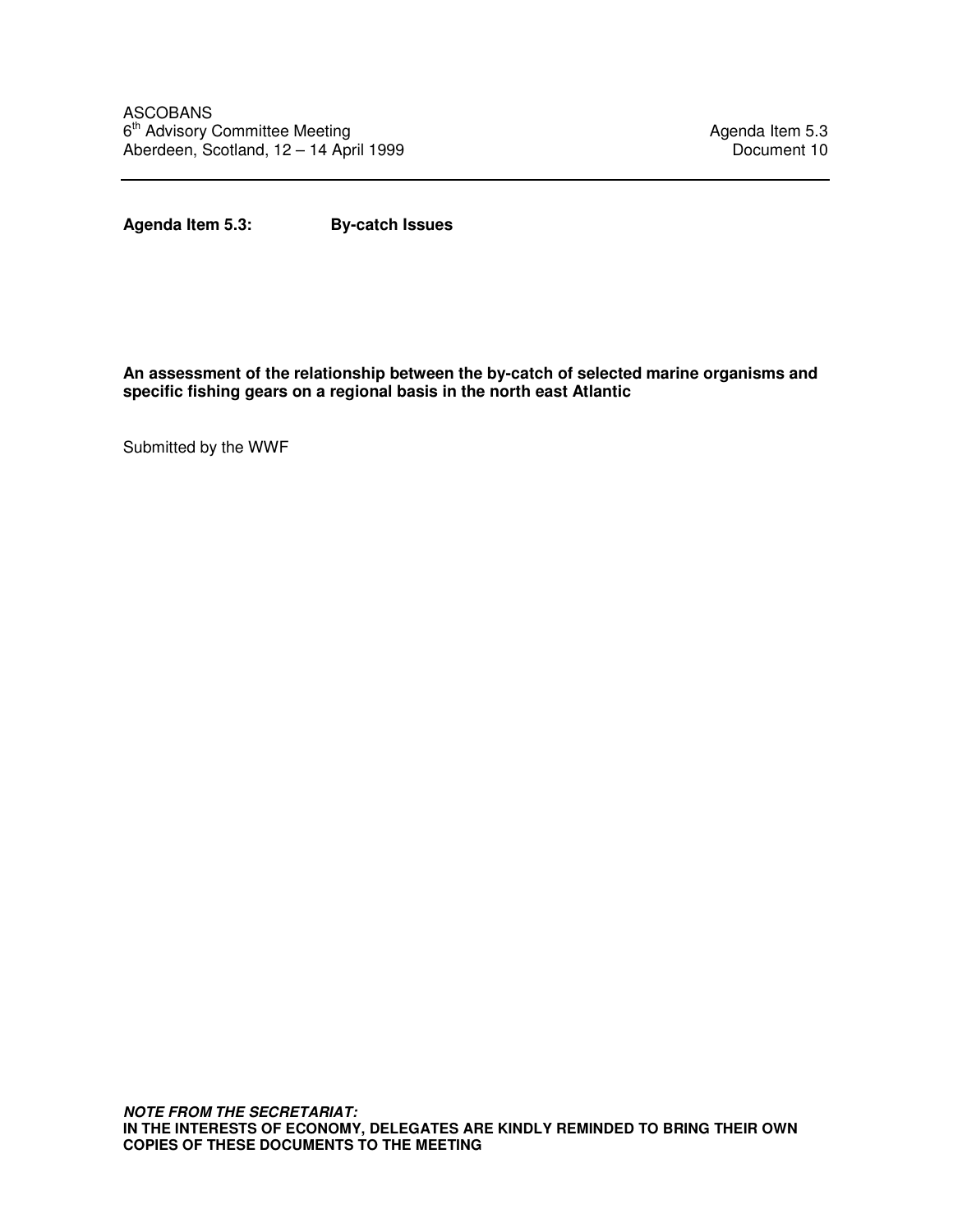**Agenda Item 5.3: By-catch Issues** 

**An assessment of the relationship between the by-catch of selected marine organisms and specific fishing gears on a regional basis in the north east Atlantic** 

Submitted by the WWF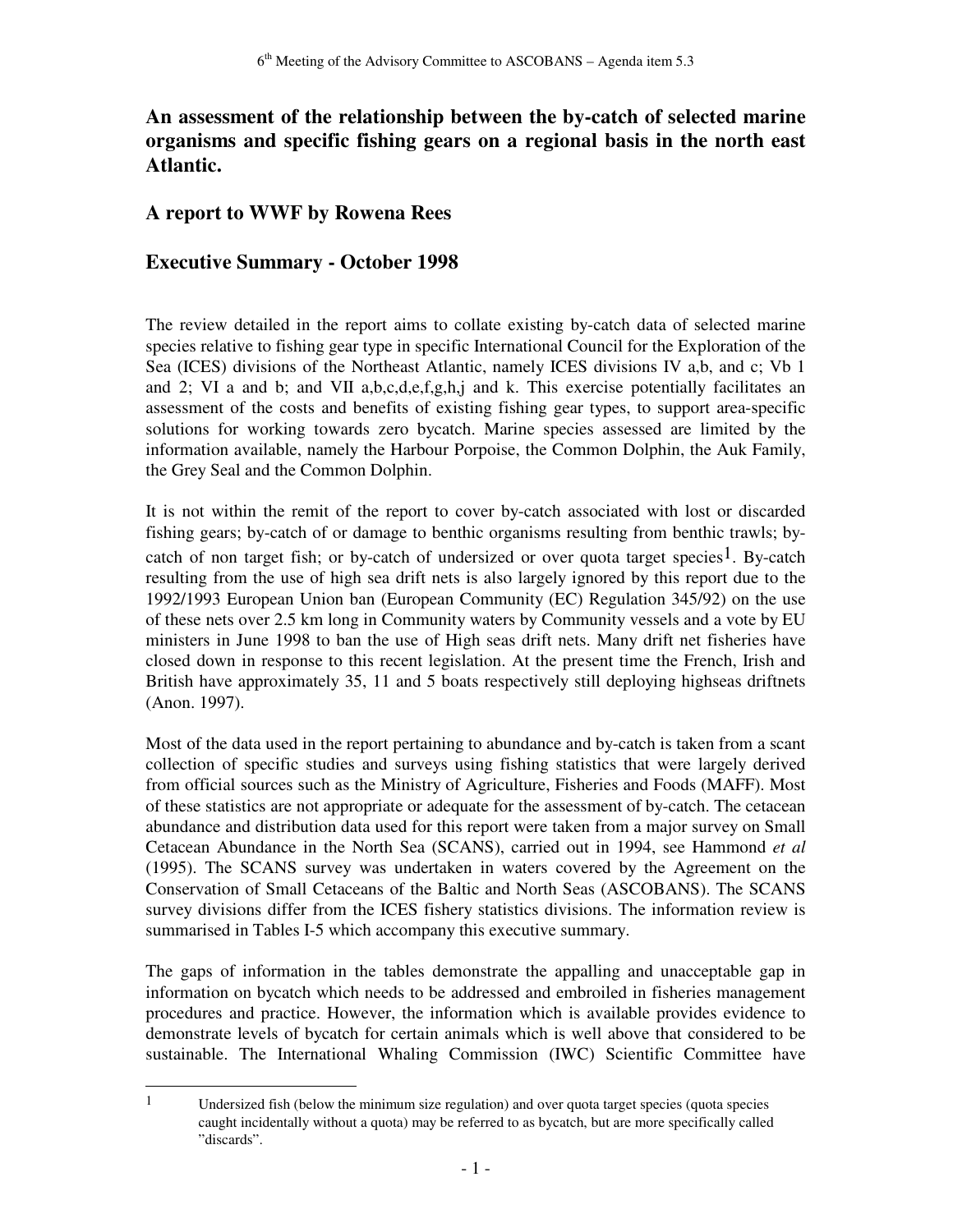# **An assessment of the relationship between the by-catch of selected marine organisms and specific fishing gears on a regional basis in the north east Atlantic.**

#### **A report to WWF by Rowena Rees**

#### **Executive Summary - October 1998**

-

The review detailed in the report aims to collate existing by-catch data of selected marine species relative to fishing gear type in specific International Council for the Exploration of the Sea (ICES) divisions of the Northeast Atlantic, namely ICES divisions IV a,b, and c; Vb 1 and 2; VI a and b; and VII a,b,c,d,e,f,g,h,j and k. This exercise potentially facilitates an assessment of the costs and benefits of existing fishing gear types, to support area-specific solutions for working towards zero bycatch. Marine species assessed are limited by the information available, namely the Harbour Porpoise, the Common Dolphin, the Auk Family, the Grey Seal and the Common Dolphin.

It is not within the remit of the report to cover by-catch associated with lost or discarded fishing gears; by-catch of or damage to benthic organisms resulting from benthic trawls; bycatch of non target fish; or by-catch of undersized or over quota target species<sup>1</sup>. By-catch resulting from the use of high sea drift nets is also largely ignored by this report due to the 1992/1993 European Union ban (European Community (EC) Regulation 345/92) on the use of these nets over 2.5 km long in Community waters by Community vessels and a vote by EU ministers in June 1998 to ban the use of High seas drift nets. Many drift net fisheries have closed down in response to this recent legislation. At the present time the French, Irish and British have approximately 35, 11 and 5 boats respectively still deploying highseas driftnets (Anon. 1997).

Most of the data used in the report pertaining to abundance and by-catch is taken from a scant collection of specific studies and surveys using fishing statistics that were largely derived from official sources such as the Ministry of Agriculture, Fisheries and Foods (MAFF). Most of these statistics are not appropriate or adequate for the assessment of by-catch. The cetacean abundance and distribution data used for this report were taken from a major survey on Small Cetacean Abundance in the North Sea (SCANS), carried out in 1994, see Hammond *et al* (1995). The SCANS survey was undertaken in waters covered by the Agreement on the Conservation of Small Cetaceans of the Baltic and North Seas (ASCOBANS). The SCANS survey divisions differ from the ICES fishery statistics divisions. The information review is summarised in Tables I-5 which accompany this executive summary.

The gaps of information in the tables demonstrate the appalling and unacceptable gap in information on bycatch which needs to be addressed and embroiled in fisheries management procedures and practice. However, the information which is available provides evidence to demonstrate levels of bycatch for certain animals which is well above that considered to be sustainable. The International Whaling Commission (IWC) Scientific Committee have

<sup>&</sup>lt;sup>1</sup> Undersized fish (below the minimum size regulation) and over quota target species (quota species caught incidentally without a quota) may be referred to as bycatch, but are more specifically called "discards".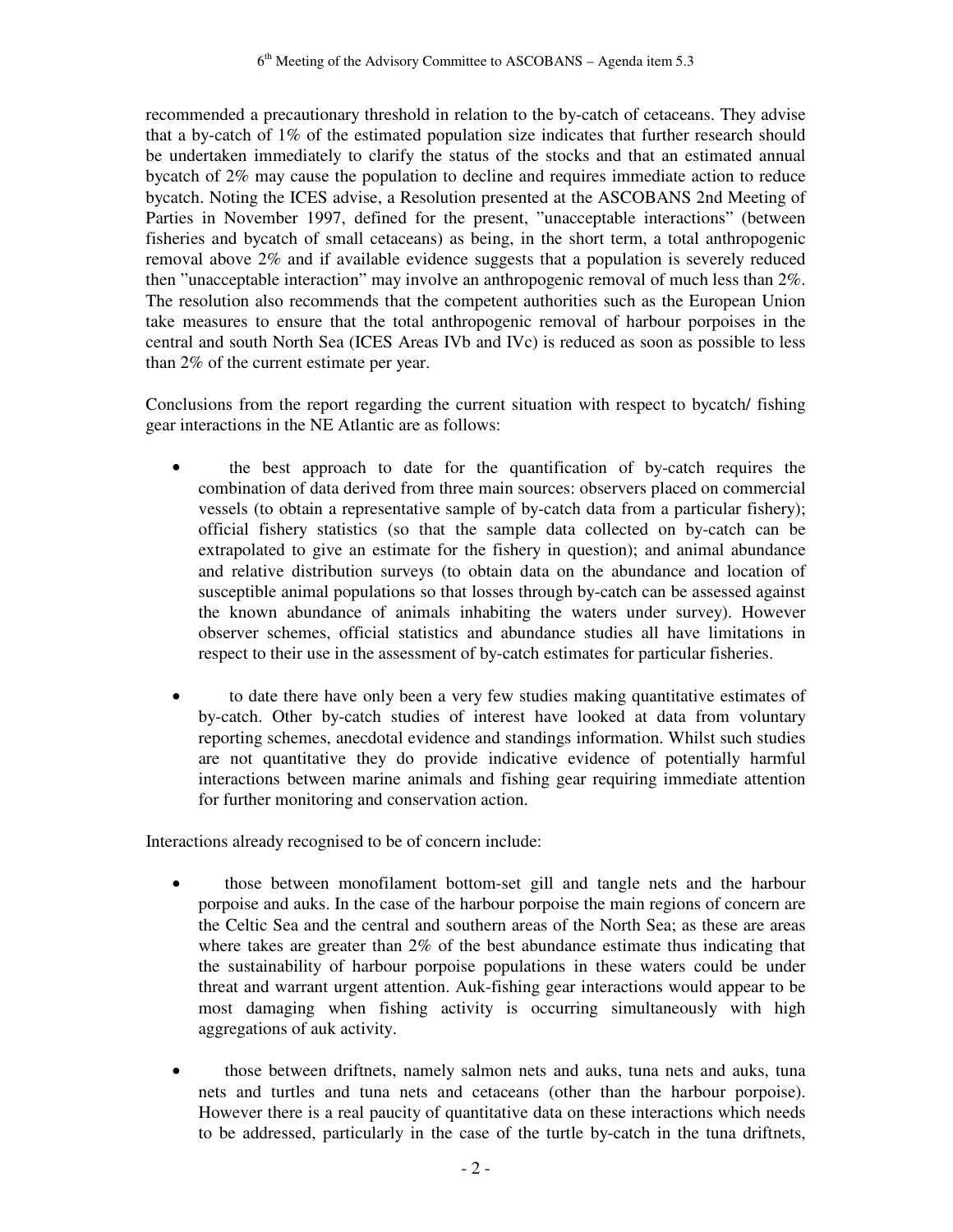recommended a precautionary threshold in relation to the by-catch of cetaceans. They advise that a by-catch of 1% of the estimated population size indicates that further research should be undertaken immediately to clarify the status of the stocks and that an estimated annual bycatch of 2% may cause the population to decline and requires immediate action to reduce bycatch. Noting the ICES advise, a Resolution presented at the ASCOBANS 2nd Meeting of Parties in November 1997, defined for the present, "unacceptable interactions" (between fisheries and bycatch of small cetaceans) as being, in the short term, a total anthropogenic removal above 2% and if available evidence suggests that a population is severely reduced then "unacceptable interaction" may involve an anthropogenic removal of much less than 2%. The resolution also recommends that the competent authorities such as the European Union take measures to ensure that the total anthropogenic removal of harbour porpoises in the central and south North Sea (ICES Areas IVb and IVc) is reduced as soon as possible to less than 2% of the current estimate per year.

Conclusions from the report regarding the current situation with respect to bycatch/ fishing gear interactions in the NE Atlantic are as follows:

- the best approach to date for the quantification of by-catch requires the combination of data derived from three main sources: observers placed on commercial vessels (to obtain a representative sample of by-catch data from a particular fishery); official fishery statistics (so that the sample data collected on by-catch can be extrapolated to give an estimate for the fishery in question); and animal abundance and relative distribution surveys (to obtain data on the abundance and location of susceptible animal populations so that losses through by-catch can be assessed against the known abundance of animals inhabiting the waters under survey). However observer schemes, official statistics and abundance studies all have limitations in respect to their use in the assessment of by-catch estimates for particular fisheries.
- to date there have only been a very few studies making quantitative estimates of by-catch. Other by-catch studies of interest have looked at data from voluntary reporting schemes, anecdotal evidence and standings information. Whilst such studies are not quantitative they do provide indicative evidence of potentially harmful interactions between marine animals and fishing gear requiring immediate attention for further monitoring and conservation action.

Interactions already recognised to be of concern include:

- those between monofilament bottom-set gill and tangle nets and the harbour porpoise and auks. In the case of the harbour porpoise the main regions of concern are the Celtic Sea and the central and southern areas of the North Sea; as these are areas where takes are greater than 2% of the best abundance estimate thus indicating that the sustainability of harbour porpoise populations in these waters could be under threat and warrant urgent attention. Auk-fishing gear interactions would appear to be most damaging when fishing activity is occurring simultaneously with high aggregations of auk activity.
- those between driftnets, namely salmon nets and auks, tuna nets and auks, tuna nets and turtles and tuna nets and cetaceans (other than the harbour porpoise). However there is a real paucity of quantitative data on these interactions which needs to be addressed, particularly in the case of the turtle by-catch in the tuna driftnets,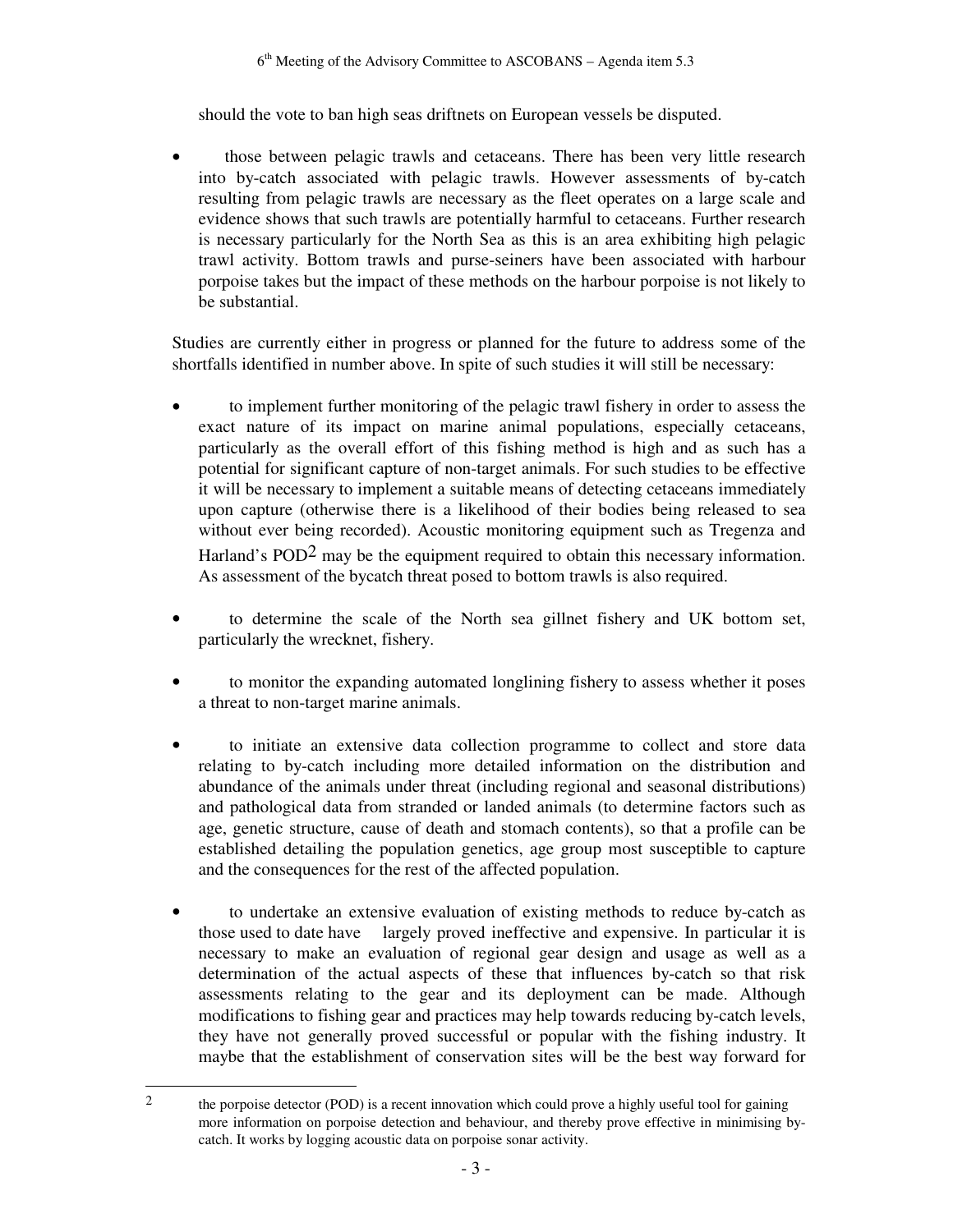should the vote to ban high seas driftnets on European vessels be disputed.

• those between pelagic trawls and cetaceans. There has been very little research into by-catch associated with pelagic trawls. However assessments of by-catch resulting from pelagic trawls are necessary as the fleet operates on a large scale and evidence shows that such trawls are potentially harmful to cetaceans. Further research is necessary particularly for the North Sea as this is an area exhibiting high pelagic trawl activity. Bottom trawls and purse-seiners have been associated with harbour porpoise takes but the impact of these methods on the harbour porpoise is not likely to be substantial.

Studies are currently either in progress or planned for the future to address some of the shortfalls identified in number above. In spite of such studies it will still be necessary:

- to implement further monitoring of the pelagic trawl fishery in order to assess the exact nature of its impact on marine animal populations, especially cetaceans, particularly as the overall effort of this fishing method is high and as such has a potential for significant capture of non-target animals. For such studies to be effective it will be necessary to implement a suitable means of detecting cetaceans immediately upon capture (otherwise there is a likelihood of their bodies being released to sea without ever being recorded). Acoustic monitoring equipment such as Tregenza and Harland's  $POD<sup>2</sup>$  may be the equipment required to obtain this necessary information. As assessment of the bycatch threat posed to bottom trawls is also required.
- to determine the scale of the North sea gillnet fishery and UK bottom set, particularly the wrecknet, fishery.
- to monitor the expanding automated longlining fishery to assess whether it poses a threat to non-target marine animals.
- to initiate an extensive data collection programme to collect and store data relating to by-catch including more detailed information on the distribution and abundance of the animals under threat (including regional and seasonal distributions) and pathological data from stranded or landed animals (to determine factors such as age, genetic structure, cause of death and stomach contents), so that a profile can be established detailing the population genetics, age group most susceptible to capture and the consequences for the rest of the affected population.
- to undertake an extensive evaluation of existing methods to reduce by-catch as those used to date have largely proved ineffective and expensive. In particular it is necessary to make an evaluation of regional gear design and usage as well as a determination of the actual aspects of these that influences by-catch so that risk assessments relating to the gear and its deployment can be made. Although modifications to fishing gear and practices may help towards reducing by-catch levels, they have not generally proved successful or popular with the fishing industry. It maybe that the establishment of conservation sites will be the best way forward for

-

<sup>&</sup>lt;sup>2</sup> the porpoise detector (POD) is a recent innovation which could prove a highly useful tool for gaining more information on porpoise detection and behaviour, and thereby prove effective in minimising bycatch. It works by logging acoustic data on porpoise sonar activity.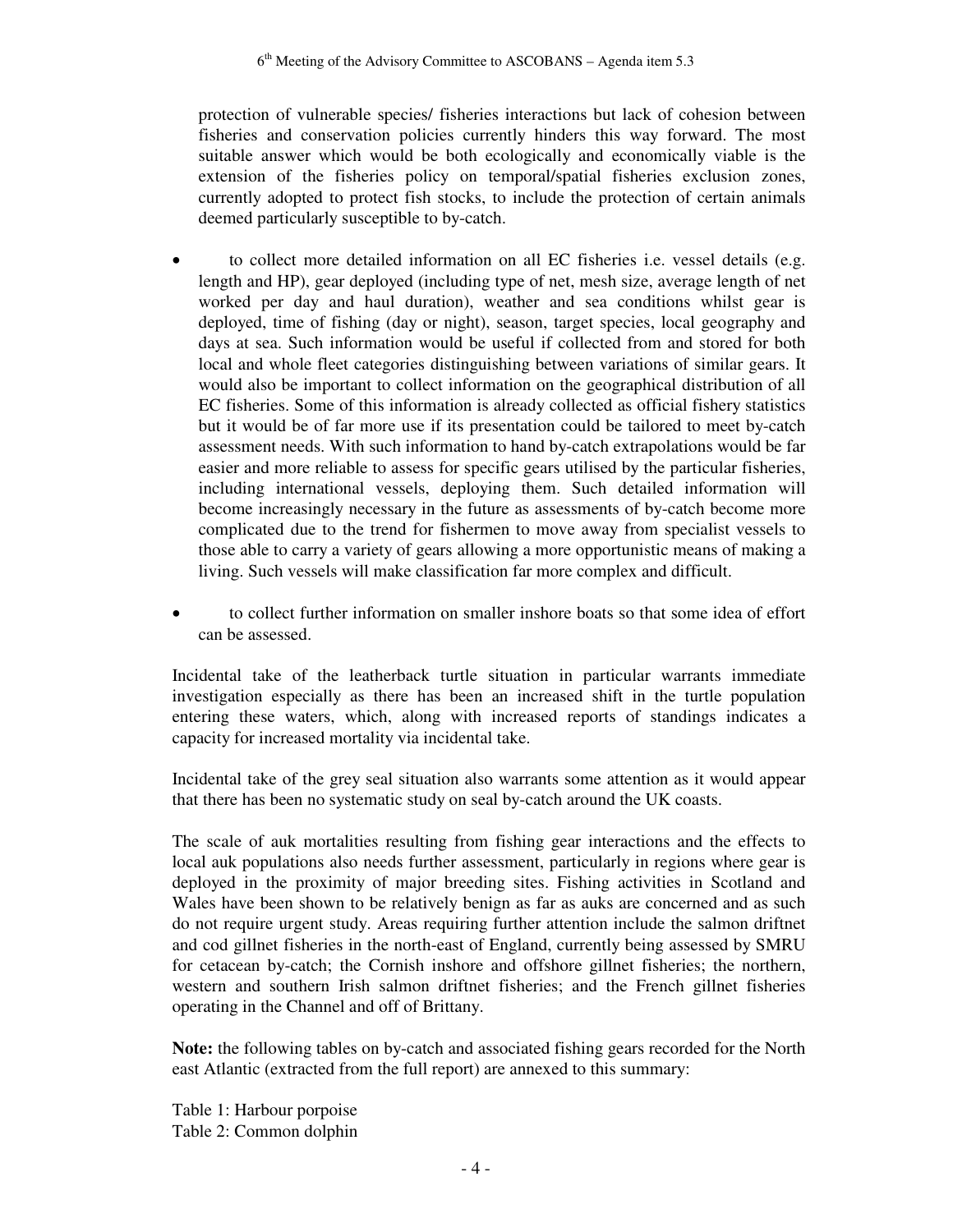protection of vulnerable species/ fisheries interactions but lack of cohesion between fisheries and conservation policies currently hinders this way forward. The most suitable answer which would be both ecologically and economically viable is the extension of the fisheries policy on temporal/spatial fisheries exclusion zones, currently adopted to protect fish stocks, to include the protection of certain animals deemed particularly susceptible to by-catch.

- to collect more detailed information on all EC fisheries i.e. vessel details (e.g. length and HP), gear deployed (including type of net, mesh size, average length of net worked per day and haul duration), weather and sea conditions whilst gear is deployed, time of fishing (day or night), season, target species, local geography and days at sea. Such information would be useful if collected from and stored for both local and whole fleet categories distinguishing between variations of similar gears. It would also be important to collect information on the geographical distribution of all EC fisheries. Some of this information is already collected as official fishery statistics but it would be of far more use if its presentation could be tailored to meet by-catch assessment needs. With such information to hand by-catch extrapolations would be far easier and more reliable to assess for specific gears utilised by the particular fisheries, including international vessels, deploying them. Such detailed information will become increasingly necessary in the future as assessments of by-catch become more complicated due to the trend for fishermen to move away from specialist vessels to those able to carry a variety of gears allowing a more opportunistic means of making a living. Such vessels will make classification far more complex and difficult.
- to collect further information on smaller inshore boats so that some idea of effort can be assessed.

Incidental take of the leatherback turtle situation in particular warrants immediate investigation especially as there has been an increased shift in the turtle population entering these waters, which, along with increased reports of standings indicates a capacity for increased mortality via incidental take.

Incidental take of the grey seal situation also warrants some attention as it would appear that there has been no systematic study on seal by-catch around the UK coasts.

The scale of auk mortalities resulting from fishing gear interactions and the effects to local auk populations also needs further assessment, particularly in regions where gear is deployed in the proximity of major breeding sites. Fishing activities in Scotland and Wales have been shown to be relatively benign as far as auks are concerned and as such do not require urgent study. Areas requiring further attention include the salmon driftnet and cod gillnet fisheries in the north-east of England, currently being assessed by SMRU for cetacean by-catch; the Cornish inshore and offshore gillnet fisheries; the northern, western and southern Irish salmon driftnet fisheries; and the French gillnet fisheries operating in the Channel and off of Brittany.

**Note:** the following tables on by-catch and associated fishing gears recorded for the North east Atlantic (extracted from the full report) are annexed to this summary:

Table 1: Harbour porpoise Table 2: Common dolphin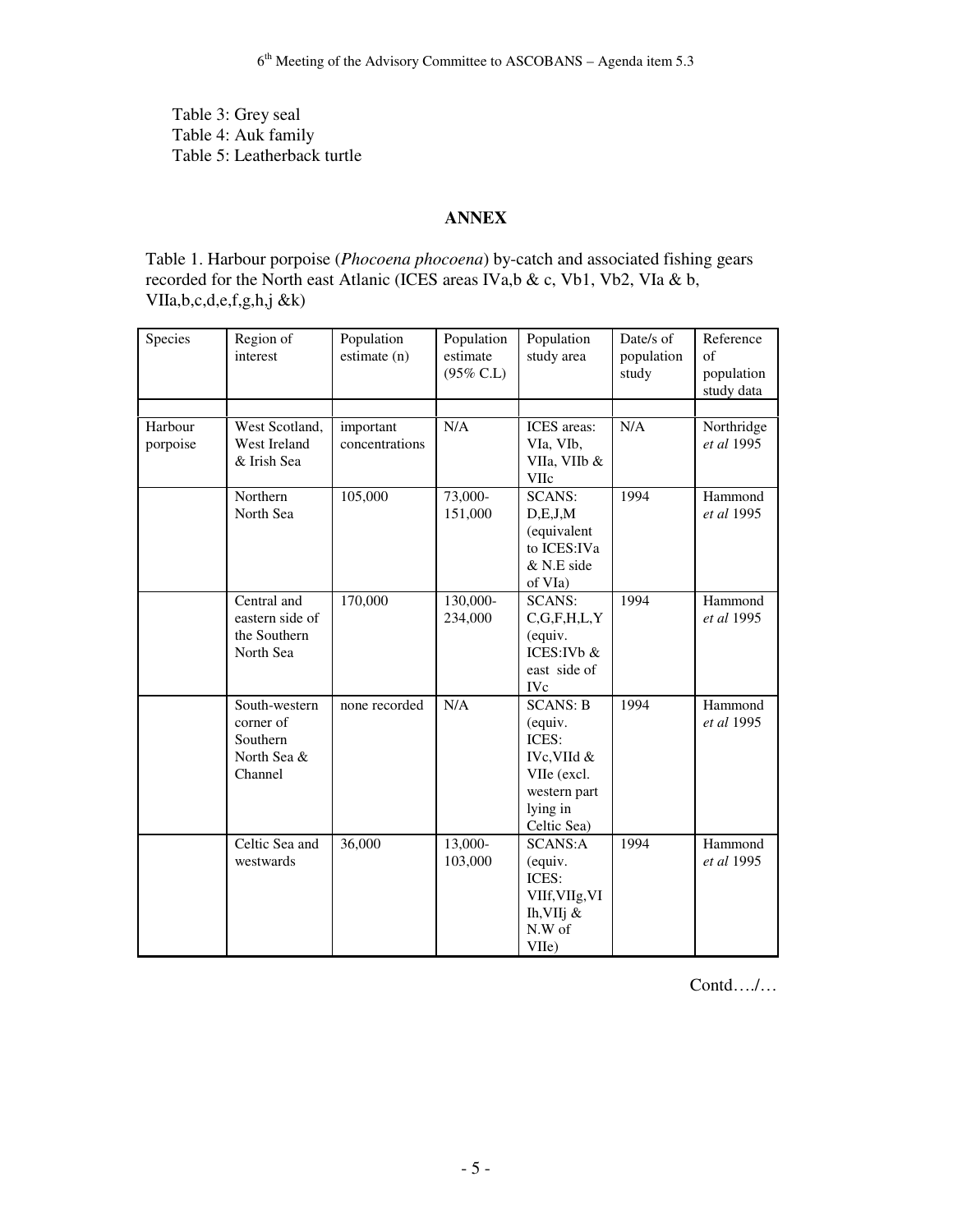Table 3: Grey seal Table 4: Auk family Table 5: Leatherback turtle

#### **ANNEX**

Table 1. Harbour porpoise (*Phocoena phocoena*) by-catch and associated fishing gears recorded for the North east Atlanic (ICES areas IVa,b & c, Vb1, Vb2, VIa & b, VIIa,b,c,d,e,f,g,h,j &k)

| Species             | Region of<br>interest                                            | Population<br>estimate (n)  | Population<br>estimate<br>$(95\% \text{ C.L})$ | Population<br>study area                                                                                     | Date/s of<br>population<br>study | Reference<br>$\sigma$ f<br>population<br>study data |
|---------------------|------------------------------------------------------------------|-----------------------------|------------------------------------------------|--------------------------------------------------------------------------------------------------------------|----------------------------------|-----------------------------------------------------|
| Harbour<br>porpoise | West Scotland,<br>West Ireland<br>& Irish Sea                    | important<br>concentrations | N/A                                            | ICES areas:<br>VIa, VIb,<br>VIIa, VIIb &<br>VIIc                                                             | N/A                              | Northridge<br>et al 1995                            |
|                     | Northern<br>North Sea                                            | 105,000                     | 73,000-<br>151,000                             | <b>SCANS:</b><br>D,E,J,M<br>(equivalent<br>to ICES: IVa<br>& N.E side<br>of VIa)                             | 1994                             | Hammond<br>et al 1995                               |
|                     | Central and<br>eastern side of<br>the Southern<br>North Sea      | 170,000                     | 130,000-<br>234,000                            | <b>SCANS:</b><br>C, G, F, H, L, Y<br>(equiv.<br>ICES: IVb &<br>east side of<br><b>IVc</b>                    | 1994                             | Hammond<br>et al 1995                               |
|                     | South-western<br>corner of<br>Southern<br>North Sea &<br>Channel | none recorded               | N/A                                            | <b>SCANS: B</b><br>(equiv.<br>ICES:<br>IVc, VIId &<br>VIIe (excl.<br>western part<br>lying in<br>Celtic Sea) | 1994                             | Hammond<br>et al 1995                               |
|                     | Celtic Sea and<br>westwards                                      | 36,000                      | 13,000-<br>103,000                             | <b>SCANS:A</b><br>(equiv.<br>ICES:<br>VIIf, VIIg, VI<br>Ih, VIIj $\&$<br>N.W of<br>VIIe)                     | 1994                             | Hammond<br>et al 1995                               |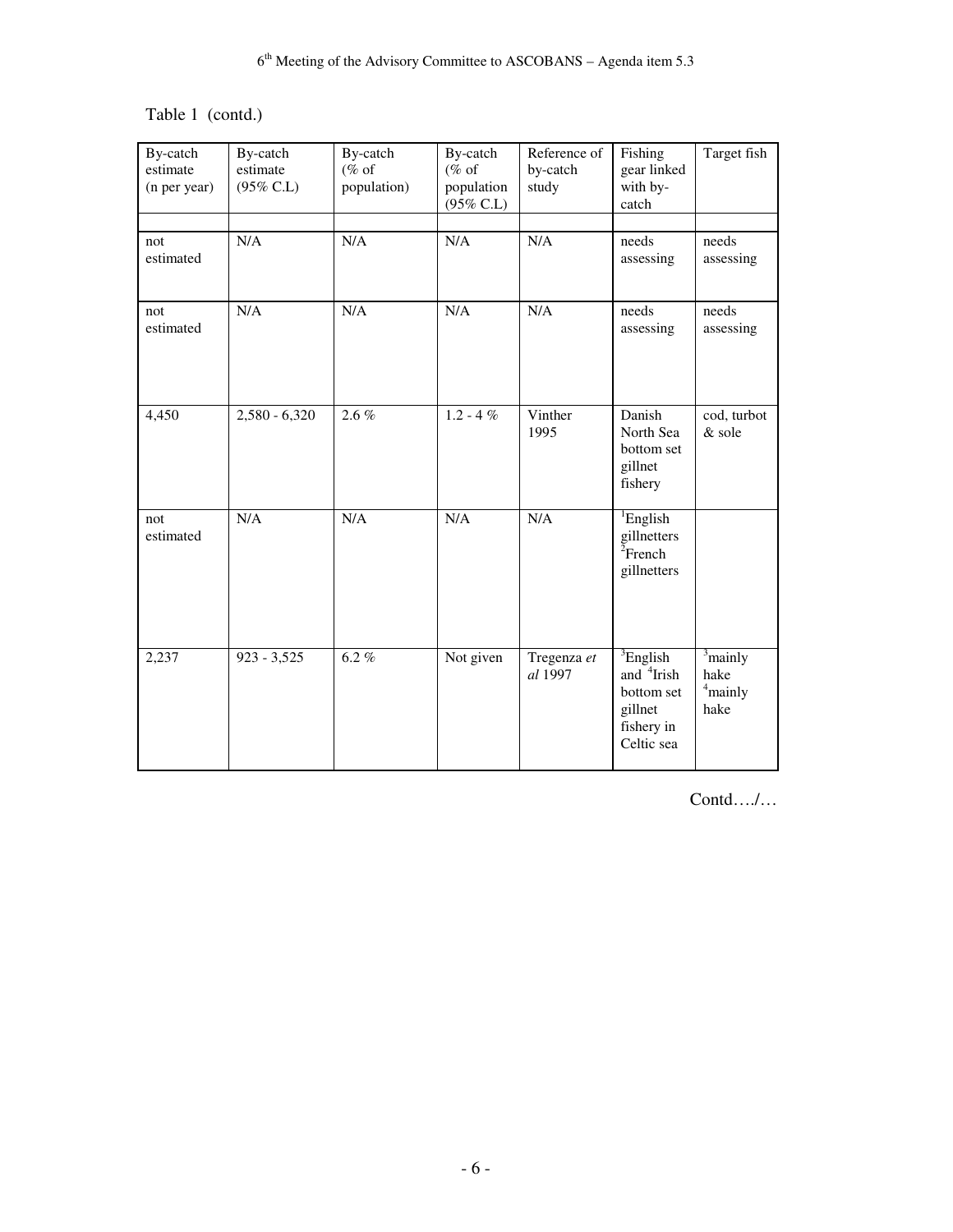Table 1 (contd.)

| By-catch<br>estimate<br>(n per year) | By-catch<br>estimate<br>$(95\%$ C.L) | By-catch<br>$(\%$ of<br>population) | By-catch<br>$(\%$ of<br>population<br>(95% C.L) | Reference of<br>by-catch<br>study | Fishing<br>gear linked<br>with by-<br>catch                                                     | Target fish                                         |
|--------------------------------------|--------------------------------------|-------------------------------------|-------------------------------------------------|-----------------------------------|-------------------------------------------------------------------------------------------------|-----------------------------------------------------|
| not<br>estimated                     | N/A                                  | N/A                                 | N/A                                             | N/A                               | needs<br>assessing                                                                              | needs<br>assessing                                  |
| not<br>estimated                     | N/A                                  | N/A                                 | N/A                                             | N/A                               | needs<br>assessing                                                                              | needs<br>assessing                                  |
| 4,450                                | $2,580 - 6,320$                      | $2.6 \%$                            | $1.2 - 4%$                                      | Vinther<br>1995                   | Danish<br>North Sea<br>bottom set<br>gillnet<br>fishery                                         | cod, turbot<br>& sole                               |
| not<br>estimated                     | N/A                                  | N/A                                 | N/A                                             | N/A                               | <sup>1</sup> English<br>gillnetters<br>${}^{2}$ French<br>gillnetters                           |                                                     |
| 2,237                                | $923 - 3,525$                        | $6.2 \%$                            | Not given                                       | Tregenza et<br>al 1997            | ${}^{3}$ English<br>and <sup>4</sup> Irish<br>bottom set<br>gillnet<br>fishery in<br>Celtic sea | $\frac{3}{3}$ mainly<br>hake<br>$^4$ mainly<br>hake |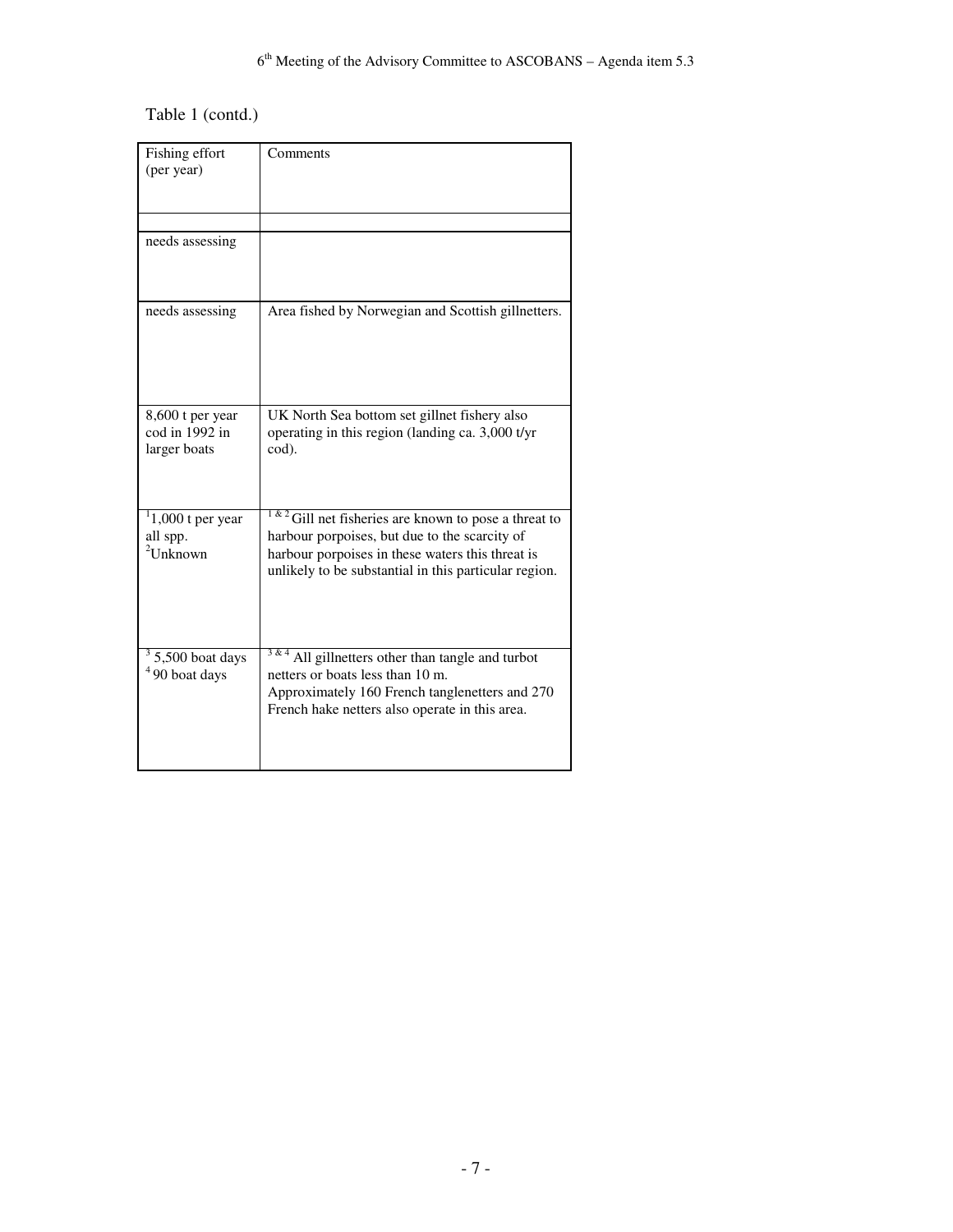# Table 1 (contd.)

| Fishing effort<br>(per year)                       | Comments                                                                                                                                                                                                                |
|----------------------------------------------------|-------------------------------------------------------------------------------------------------------------------------------------------------------------------------------------------------------------------------|
| needs assessing                                    |                                                                                                                                                                                                                         |
| needs assessing                                    | Area fished by Norwegian and Scottish gillnetters.                                                                                                                                                                      |
| 8,600 t per year<br>cod in 1992 in<br>larger boats | UK North Sea bottom set gillnet fishery also<br>operating in this region (landing ca. 3,000 t/yr<br>cod).                                                                                                               |
| $1,000$ t per year<br>all spp.<br>$2$ Unknown      | 1 & 2<br>Gill net fisheries are known to pose a threat to<br>harbour porpoises, but due to the scarcity of<br>harbour porpoises in these waters this threat is<br>unlikely to be substantial in this particular region. |
| $3\,$ 5,500 boat days<br>$490$ boat days           | All gillnetters other than tangle and turbot<br>netters or boats less than 10 m.<br>Approximately 160 French tanglenetters and 270<br>French hake netters also operate in this area.                                    |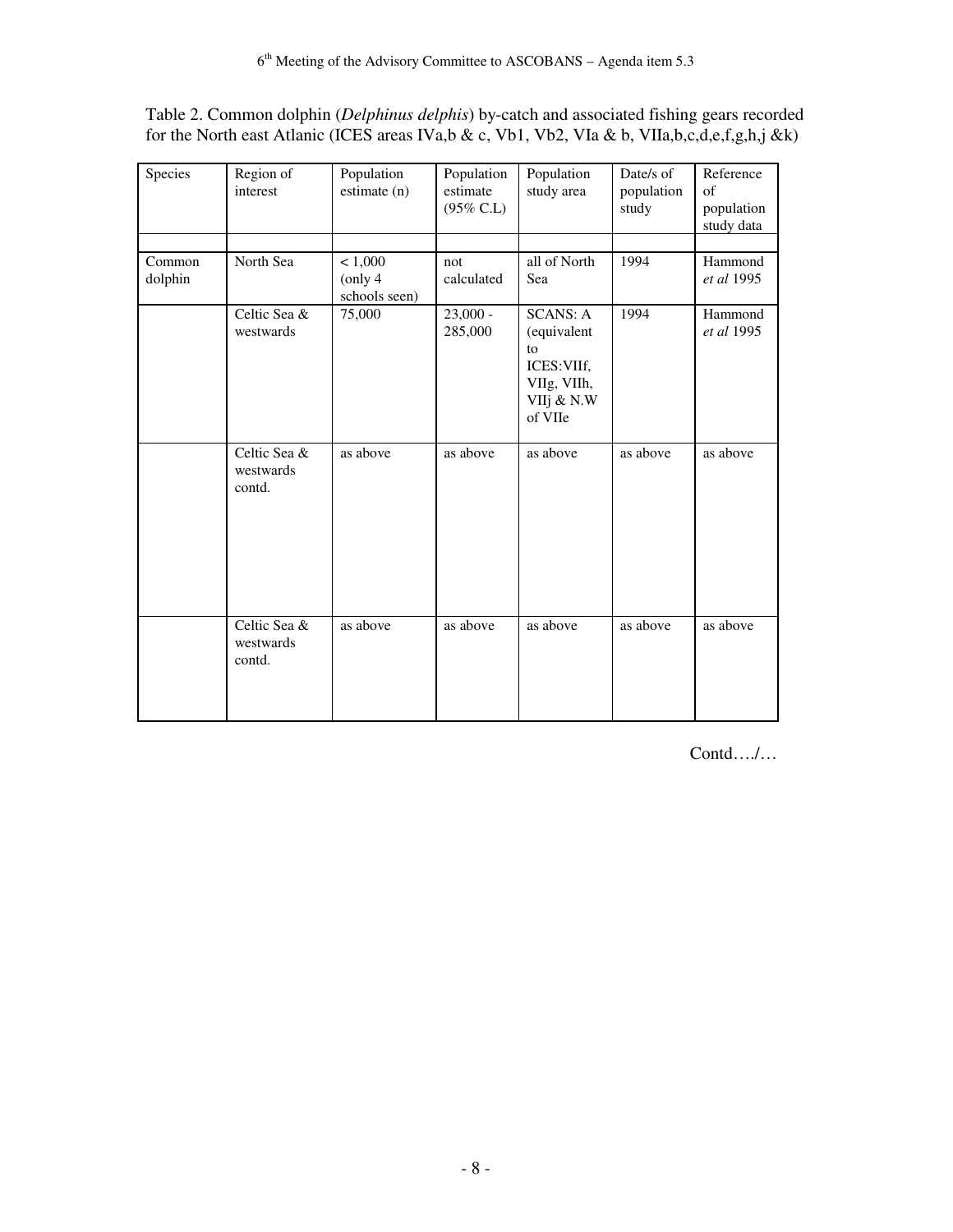| Species           | Region of<br>interest               | Population<br>estimate (n)          | Population<br>estimate<br>$(95\%$ C.L) | Population<br>study area                                                                    | Date/s of<br>population<br>study | Reference<br>of<br>population<br>study data |
|-------------------|-------------------------------------|-------------------------------------|----------------------------------------|---------------------------------------------------------------------------------------------|----------------------------------|---------------------------------------------|
| Common<br>dolphin | North Sea                           | < 1,000<br>(only 4<br>schools seen) | not<br>calculated                      | all of North<br>Sea                                                                         | 1994                             | Hammond<br>et al 1995                       |
|                   | Celtic Sea &<br>westwards           | 75,000                              | $23,000 -$<br>285,000                  | <b>SCANS: A</b><br>(equivalent<br>to<br>ICES: VIIf,<br>VIIg, VIIh,<br>VIIj & N.W<br>of VIIe | 1994                             | Hammond<br>et al 1995                       |
|                   | Celtic Sea &<br>westwards<br>contd. | as above                            | as above                               | as above                                                                                    | as above                         | as above                                    |
|                   | Celtic Sea &<br>westwards<br>contd. | as above                            | as above                               | as above                                                                                    | as above                         | as above                                    |

Table 2. Common dolphin (*Delphinus delphis*) by-catch and associated fishing gears recorded for the North east Atlanic (ICES areas IVa,b & c, Vb1, Vb2, VIa & b, VIIa,b,c,d,e,f,g,h,j &k)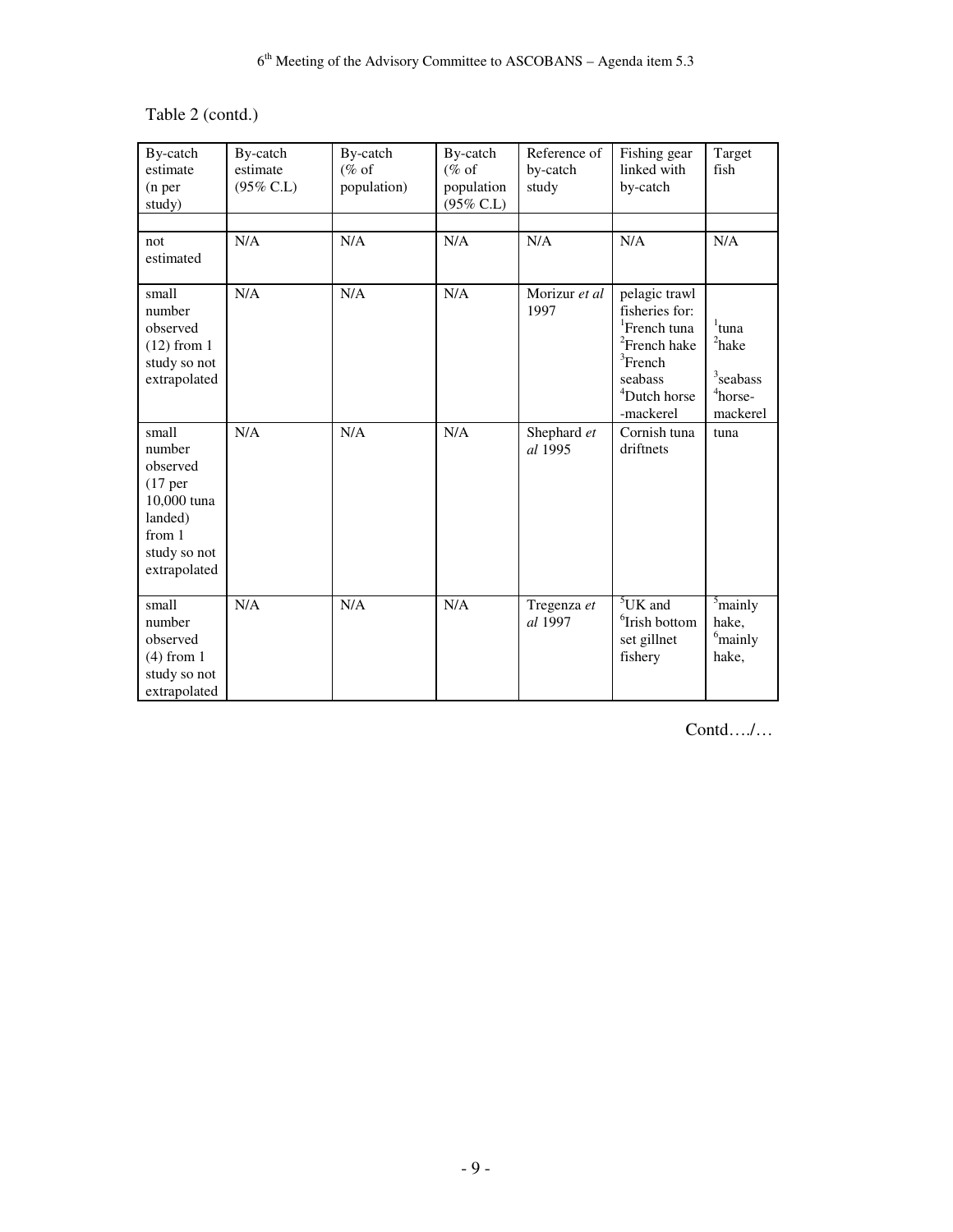# Table 2 (contd.)

| By-catch<br>estimate<br>(n <sub>per</sub> )<br>study)                                                                   | By-catch<br>estimate<br>$(95\%$ C.L) | By-catch<br>$(\%$ of<br>population) | By-catch<br>$(\%$ of<br>population<br>(95% C.L) | Reference of<br>by-catch<br>study | Fishing gear<br>linked with<br>by-catch                                                                                                                        | Target<br>fish                                                                                          |
|-------------------------------------------------------------------------------------------------------------------------|--------------------------------------|-------------------------------------|-------------------------------------------------|-----------------------------------|----------------------------------------------------------------------------------------------------------------------------------------------------------------|---------------------------------------------------------------------------------------------------------|
| not<br>estimated                                                                                                        | N/A                                  | N/A                                 | N/A                                             | N/A                               | N/A                                                                                                                                                            | N/A                                                                                                     |
| small<br>number<br>observed<br>$(12)$ from 1<br>study so not<br>extrapolated                                            | N/A                                  | N/A                                 | N/A                                             | Morizur et al<br>1997             | pelagic trawl<br>fisheries for:<br><sup>1</sup> French tuna<br><sup>2</sup> French hake<br>${}^{3}$ French<br>seabass<br><sup>4</sup> Dutch horse<br>-mackerel | $1$ tuna<br>$2$ hake<br>$\ensuremath{\mathrm{{}^3}\mathrm{seabass}}$<br><sup>4</sup> horse-<br>mackerel |
| small<br>number<br>observed<br>(17 <sub>per</sub> )<br>10,000 tuna<br>landed)<br>from 1<br>study so not<br>extrapolated | N/A                                  | N/A                                 | N/A                                             | Shephard et<br>al 1995            | Cornish tuna<br>driftnets                                                                                                                                      | tuna                                                                                                    |
| small<br>number<br>observed<br>$(4)$ from 1<br>study so not<br>extrapolated                                             | N/A                                  | N/A                                 | N/A                                             | Tregenza et<br>al 1997            | ${}^{5}$ UK and<br><sup>6</sup> Irish bottom<br>set gillnet<br>fishery                                                                                         | $\frac{5}{2}$ mainly<br>hake,<br><sup>6</sup> mainly<br>hake,                                           |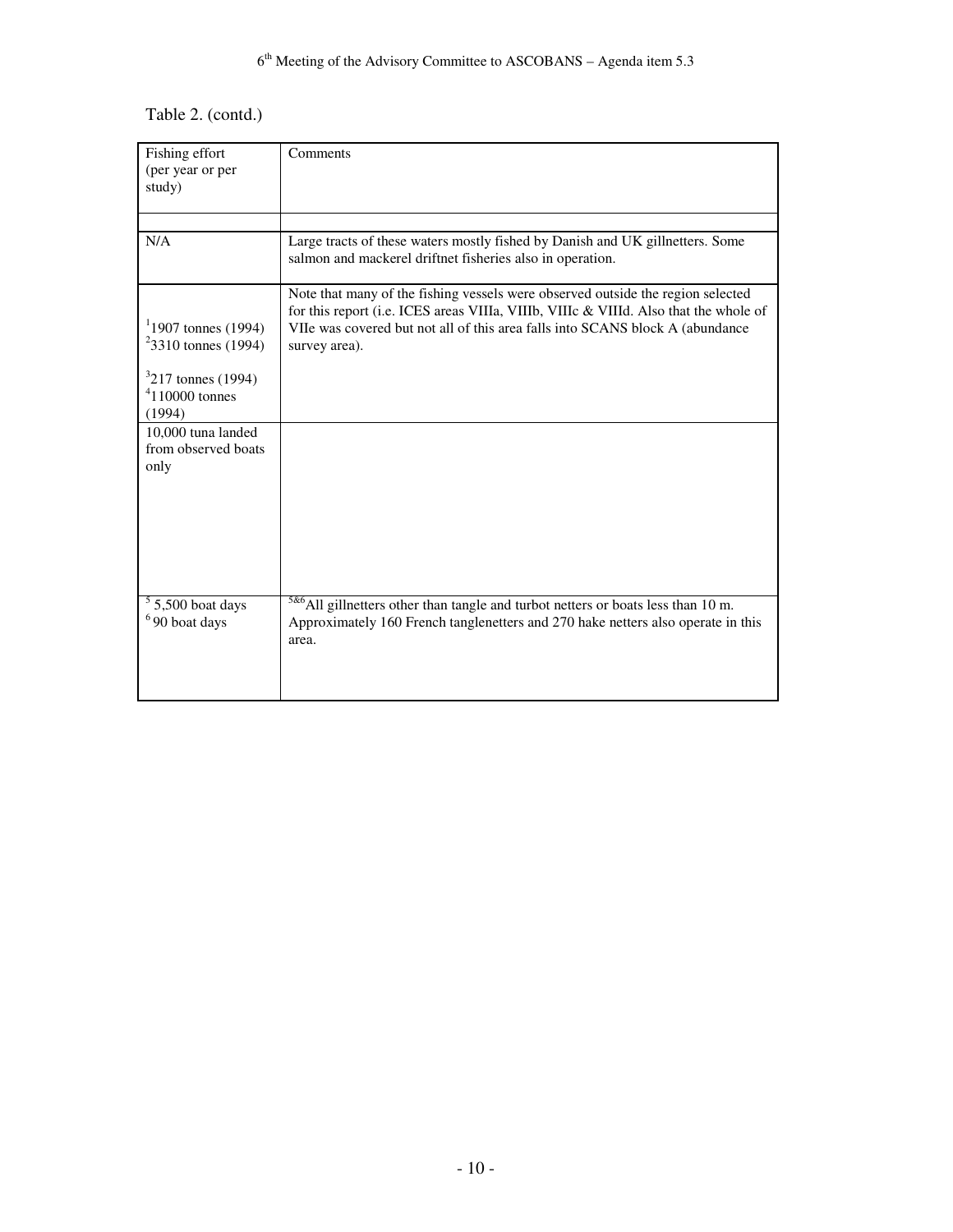# Table 2. (contd.)

| Fishing effort                                 | Comments                                                                                                                                                                                      |
|------------------------------------------------|-----------------------------------------------------------------------------------------------------------------------------------------------------------------------------------------------|
| (per year or per                               |                                                                                                                                                                                               |
| study)                                         |                                                                                                                                                                                               |
|                                                |                                                                                                                                                                                               |
|                                                |                                                                                                                                                                                               |
| N/A                                            | Large tracts of these waters mostly fished by Danish and UK gillnetters. Some<br>salmon and mackerel driftnet fisheries also in operation.                                                    |
|                                                | Note that many of the fishing vessels were observed outside the region selected<br>for this report (i.e. ICES areas VIIIa, VIIIb, VIIIc & VIIId. Also that the whole of                       |
| $11907$ tonnes (1994)<br>$23310$ tonnes (1994) | VIIe was covered but not all of this area falls into SCANS block A (abundance)<br>survey area).                                                                                               |
| $3217$ tonnes (1994)                           |                                                                                                                                                                                               |
| $4110000$ tonnes<br>(1994)                     |                                                                                                                                                                                               |
| 10,000 tuna landed                             |                                                                                                                                                                                               |
| from observed boats                            |                                                                                                                                                                                               |
| only                                           |                                                                                                                                                                                               |
|                                                |                                                                                                                                                                                               |
|                                                |                                                                                                                                                                                               |
|                                                |                                                                                                                                                                                               |
|                                                |                                                                                                                                                                                               |
|                                                |                                                                                                                                                                                               |
|                                                |                                                                                                                                                                                               |
| $5,500$ boat days<br>$6$ 90 boat days          | <sup>5&amp;6</sup> All gillnetters other than tangle and turbot netters or boats less than 10 m.<br>Approximately 160 French tanglenetters and 270 hake netters also operate in this<br>area. |
|                                                |                                                                                                                                                                                               |
|                                                |                                                                                                                                                                                               |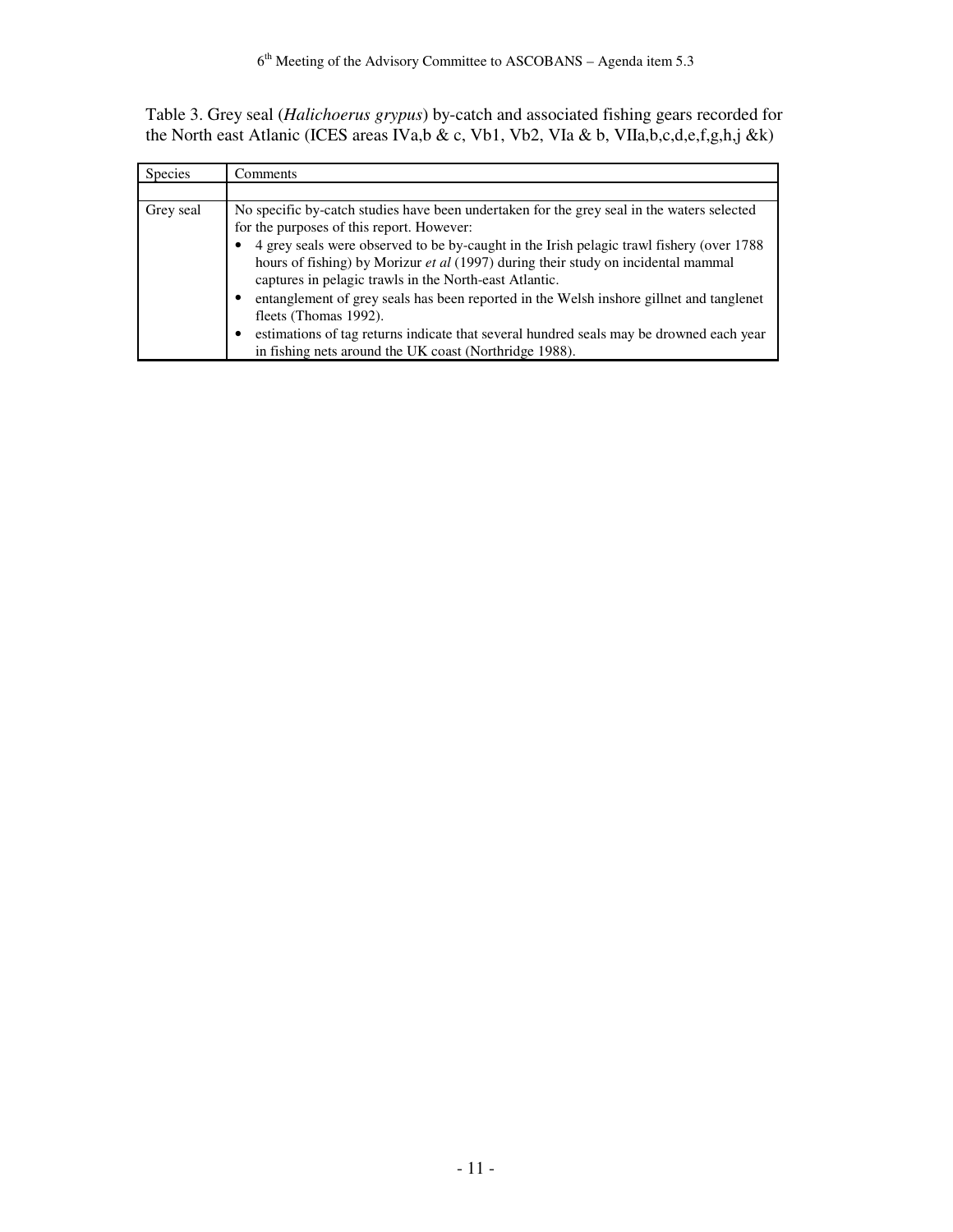Table 3. Grey seal (*Halichoerus grypus*) by-catch and associated fishing gears recorded for the North east Atlanic (ICES areas IVa,b & c, Vb1, Vb2, VIa & b, VIIa,b,c,d,e,f,g,h,j &k)

| <b>Species</b> | Comments                                                                                                                                                                                                                                                                                                                                                                            |
|----------------|-------------------------------------------------------------------------------------------------------------------------------------------------------------------------------------------------------------------------------------------------------------------------------------------------------------------------------------------------------------------------------------|
|                |                                                                                                                                                                                                                                                                                                                                                                                     |
| Grey seal      | No specific by-catch studies have been undertaken for the grey seal in the waters selected<br>for the purposes of this report. However:<br>4 grey seals were observed to be by-caught in the Irish pelagic trawl fishery (over 1788)<br>hours of fishing) by Morizur et al (1997) during their study on incidental mammal<br>captures in pelagic trawls in the North-east Atlantic. |
|                | entanglement of grey seals has been reported in the Welsh inshore gillnet and tanglenet<br>fleets (Thomas 1992).<br>estimations of tag returns indicate that several hundred seals may be drowned each year                                                                                                                                                                         |
|                | in fishing nets around the UK coast (Northridge 1988).                                                                                                                                                                                                                                                                                                                              |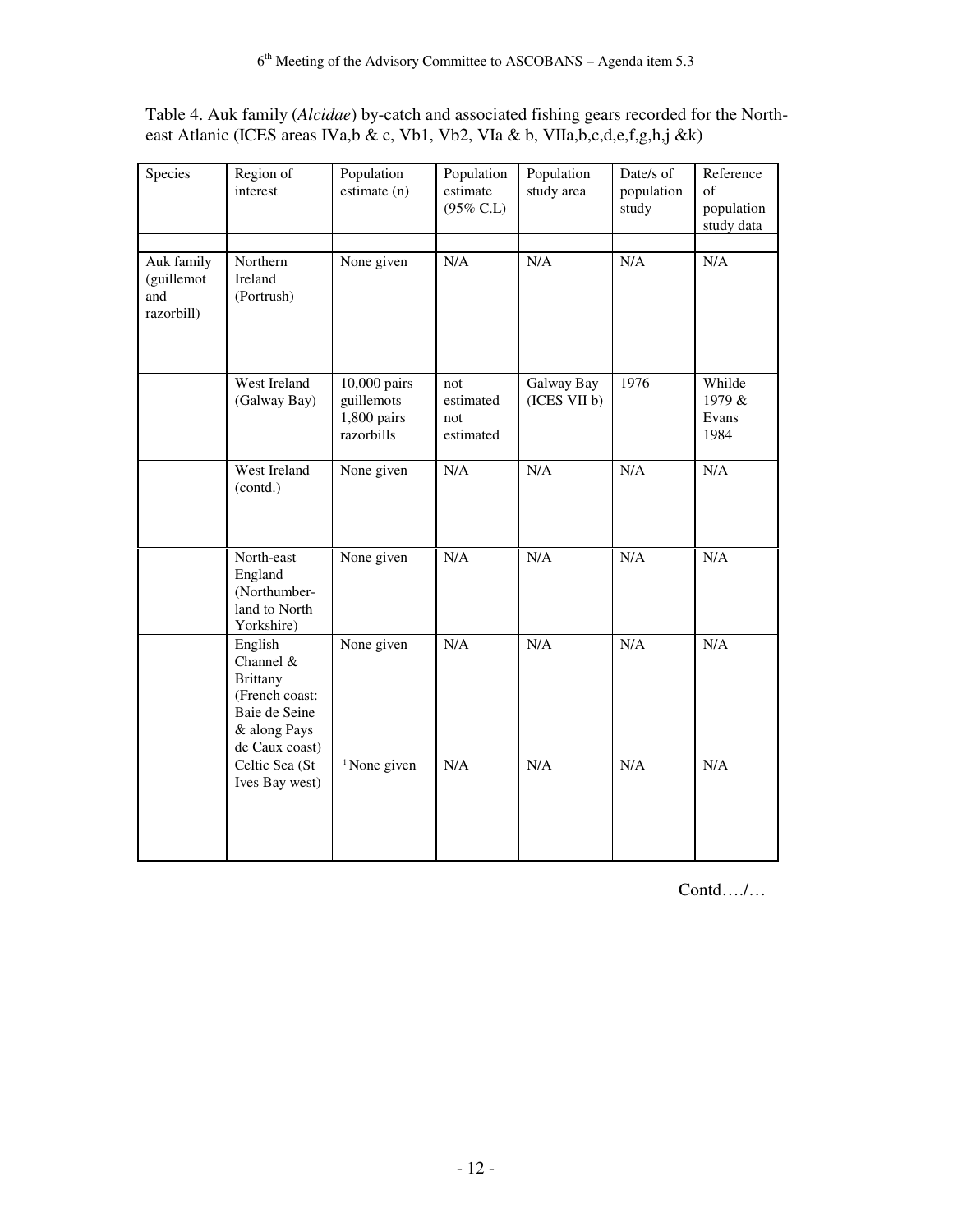| Table 4. Auk family ( <i>Alcidae</i> ) by-catch and associated fishing gears recorded for the North- |  |
|------------------------------------------------------------------------------------------------------|--|
| east Atlanic (ICES areas IVa,b & c, Vb1, Vb2, VIa & b, VIIa,b,c,d,e,f,g,h,j &k)                      |  |

| Species                                       | Region of<br>interest                                                                                        | Population<br>estimate (n)                              | Population<br>estimate<br>$(95\%$ C.L) | Population<br>study area   | Date/s of<br>population<br>study | Reference<br>of<br>population<br>study data |
|-----------------------------------------------|--------------------------------------------------------------------------------------------------------------|---------------------------------------------------------|----------------------------------------|----------------------------|----------------------------------|---------------------------------------------|
| Auk family<br>(guillemot<br>and<br>razorbill) | Northern<br>Ireland<br>(Portrush)                                                                            | None given                                              | N/A                                    | N/A                        | N/A                              | N/A                                         |
|                                               | West Ireland<br>(Galway Bay)                                                                                 | 10,000 pairs<br>guillemots<br>1,800 pairs<br>razorbills | not<br>estimated<br>not<br>estimated   | Galway Bay<br>(ICES VII b) | 1976                             | Whilde<br>1979 &<br>Evans<br>1984           |
|                                               | West Ireland<br>(contd.)                                                                                     | None given                                              | N/A                                    | N/A                        | N/A                              | $\overline{\text{N}}/\text{A}$              |
|                                               | North-east<br>England<br>(Northumber-<br>land to North<br>Yorkshire)                                         | None given                                              | N/A                                    | N/A                        | N/A                              | N/A                                         |
|                                               | English<br>Channel &<br><b>Brittany</b><br>(French coast:<br>Baie de Seine<br>& along Pays<br>de Caux coast) | None given                                              | N/A                                    | N/A                        | N/A                              | N/A                                         |
|                                               | Celtic Sea (St<br>Ives Bay west)                                                                             | <sup>1</sup> None given                                 | N/A                                    | N/A                        | N/A                              | N/A                                         |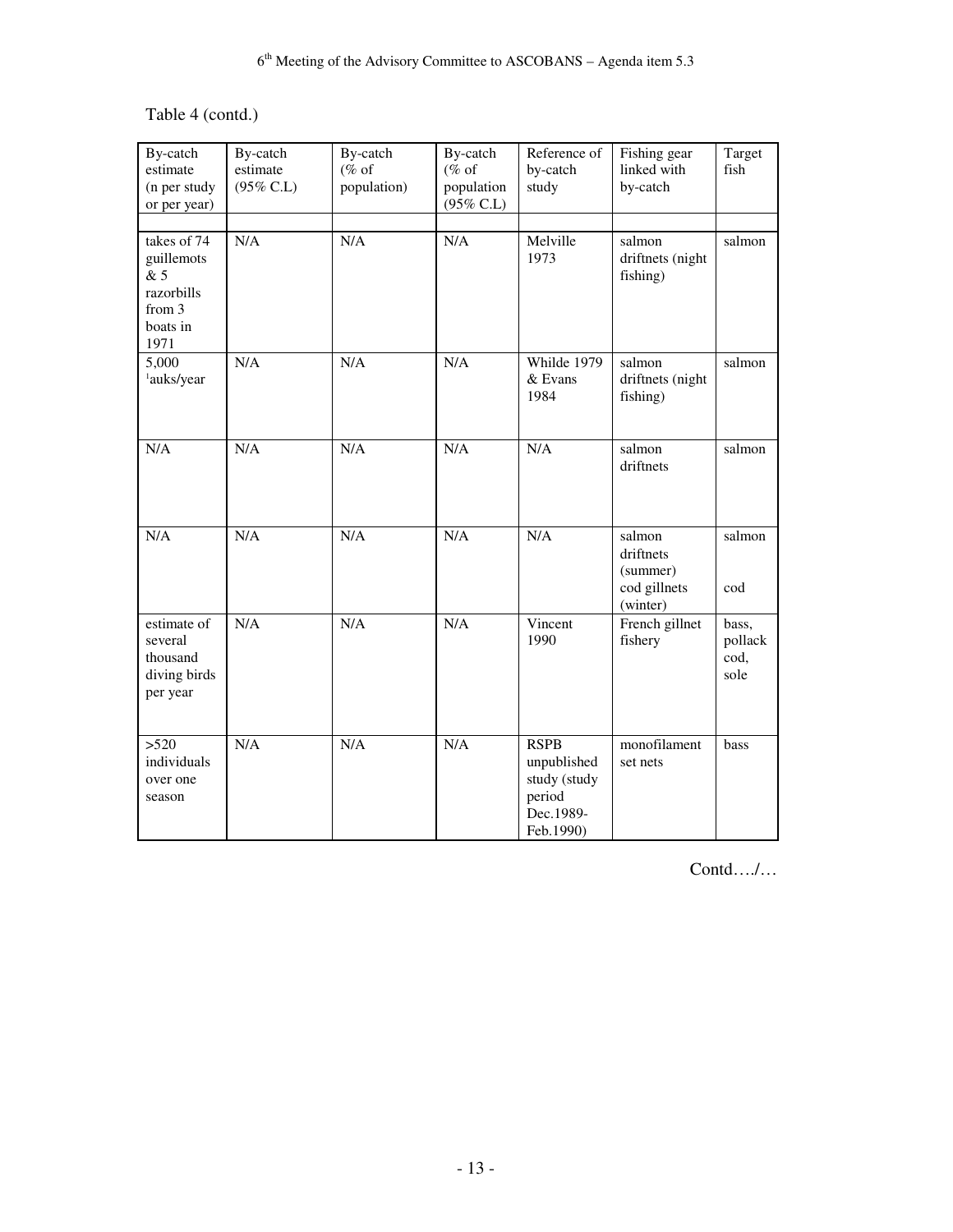# Table 4 (contd.)

| By-catch<br>estimate<br>(n per study<br>or per year)                         | By-catch<br>estimate<br>$(95\% \text{ C.L})$ | By-catch<br>$(\%$ of<br>population) | By-catch<br>$(\%$ of<br>population<br>$(95\%$ C.L) | Reference of<br>by-catch<br>study                                              | Fishing gear<br>linked with<br>by-catch                     | Target<br>fish                   |
|------------------------------------------------------------------------------|----------------------------------------------|-------------------------------------|----------------------------------------------------|--------------------------------------------------------------------------------|-------------------------------------------------------------|----------------------------------|
| takes of 74<br>guillemots<br>& 5<br>razorbills<br>from 3<br>boats in<br>1971 | N/A                                          | N/A                                 | N/A                                                | Melville<br>1973                                                               | salmon<br>driftnets (night<br>fishing)                      | salmon                           |
| 5,000<br><sup>1</sup> auks/year                                              | N/A                                          | N/A                                 | N/A                                                | Whilde 1979<br>& Evans<br>1984                                                 | salmon<br>driftnets (night<br>fishing)                      | salmon                           |
| N/A                                                                          | N/A                                          | N/A                                 | N/A                                                | N/A                                                                            | salmon<br>driftnets                                         | salmon                           |
| N/A                                                                          | N/A                                          | N/A                                 | N/A                                                | N/A                                                                            | salmon<br>driftnets<br>(summer)<br>cod gillnets<br>(winter) | salmon<br>cod                    |
| estimate of<br>several<br>thousand<br>diving birds<br>per year               | N/A                                          | N/A                                 | N/A                                                | Vincent<br>1990                                                                | French gillnet<br>fishery                                   | bass,<br>pollack<br>cod,<br>sole |
| >520<br>individuals<br>over one<br>season                                    | N/A                                          | N/A                                 | N/A                                                | <b>RSPB</b><br>unpublished<br>study (study<br>period<br>Dec.1989-<br>Feb.1990) | monofilament<br>set nets                                    | bass                             |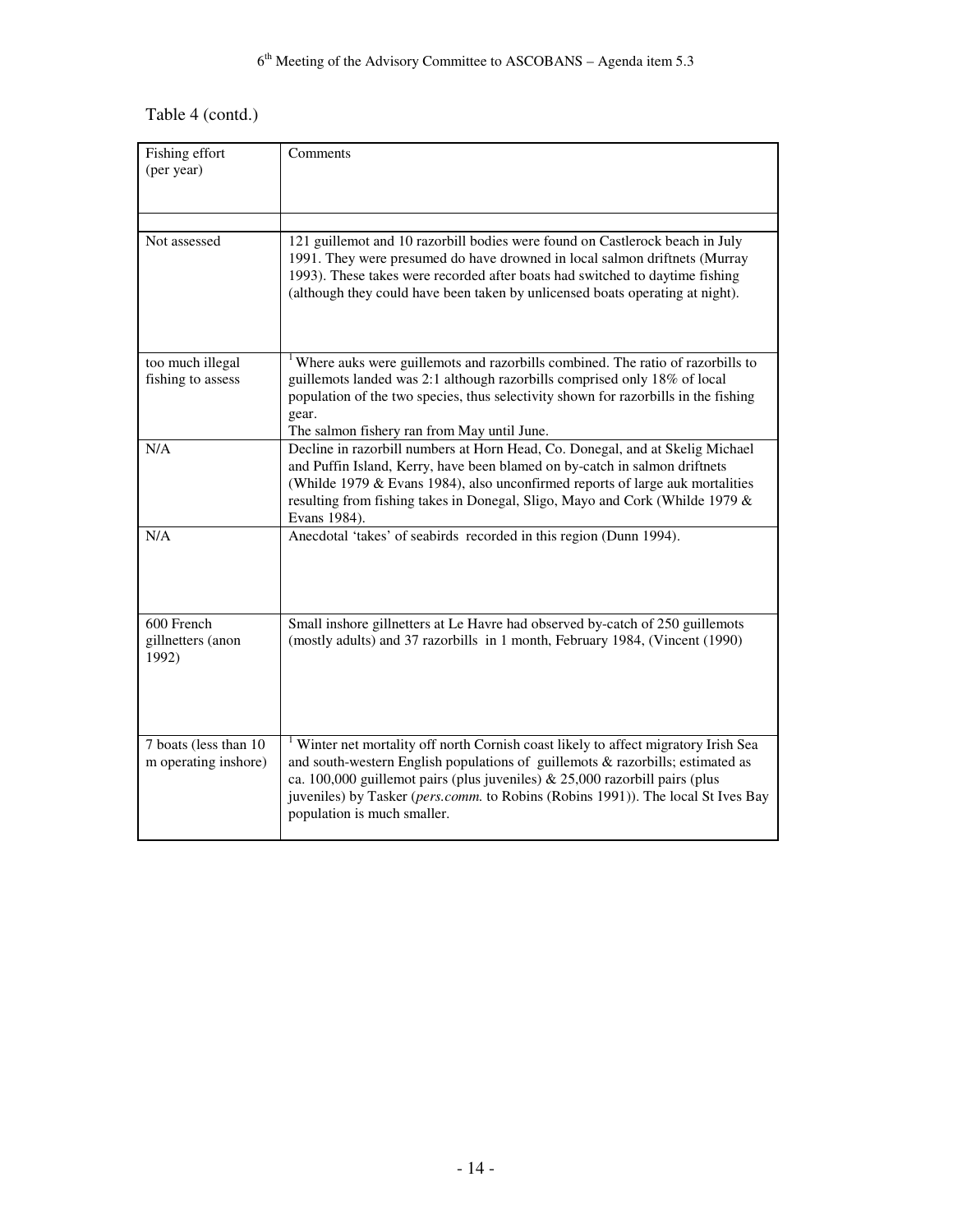# Table 4 (contd.)

| Fishing effort<br>(per year)                  | Comments                                                                                                                                                                                                                                                                                                                                                                             |
|-----------------------------------------------|--------------------------------------------------------------------------------------------------------------------------------------------------------------------------------------------------------------------------------------------------------------------------------------------------------------------------------------------------------------------------------------|
|                                               |                                                                                                                                                                                                                                                                                                                                                                                      |
| Not assessed                                  | 121 guillemot and 10 razorbill bodies were found on Castlerock beach in July<br>1991. They were presumed do have drowned in local salmon driftnets (Murray<br>1993). These takes were recorded after boats had switched to daytime fishing<br>(although they could have been taken by unlicensed boats operating at night).                                                          |
| too much illegal<br>fishing to assess         | <sup>1</sup> Where auks were guillemots and razorbills combined. The ratio of razorbills to<br>guillemots landed was 2:1 although razorbills comprised only 18% of local<br>population of the two species, thus selectivity shown for razorbills in the fishing<br>gear.<br>The salmon fishery ran from May until June.                                                              |
| N/A                                           | Decline in razorbill numbers at Horn Head, Co. Donegal, and at Skelig Michael<br>and Puffin Island, Kerry, have been blamed on by-catch in salmon driftnets<br>(Whilde 1979 & Evans 1984), also unconfirmed reports of large auk mortalities<br>resulting from fishing takes in Donegal, Sligo, Mayo and Cork (Whilde 1979 &<br>Evans 1984).                                         |
| N/A                                           | Anecdotal 'takes' of seabirds recorded in this region (Dunn 1994).                                                                                                                                                                                                                                                                                                                   |
| 600 French<br>gillnetters (anon<br>1992)      | Small inshore gillnetters at Le Havre had observed by-catch of 250 guillemots<br>(mostly adults) and 37 razorbills in 1 month, February 1984, (Vincent (1990)                                                                                                                                                                                                                        |
| 7 boats (less than 10<br>m operating inshore) | <sup>1</sup> Winter net mortality off north Cornish coast likely to affect migratory Irish Sea<br>and south-western English populations of guillemots & razorbills; estimated as<br>ca. 100,000 guillemot pairs (plus juveniles) $& 25,000$ razorbill pairs (plus<br>juveniles) by Tasker (pers.comm. to Robins (Robins 1991)). The local St Ives Bay<br>population is much smaller. |